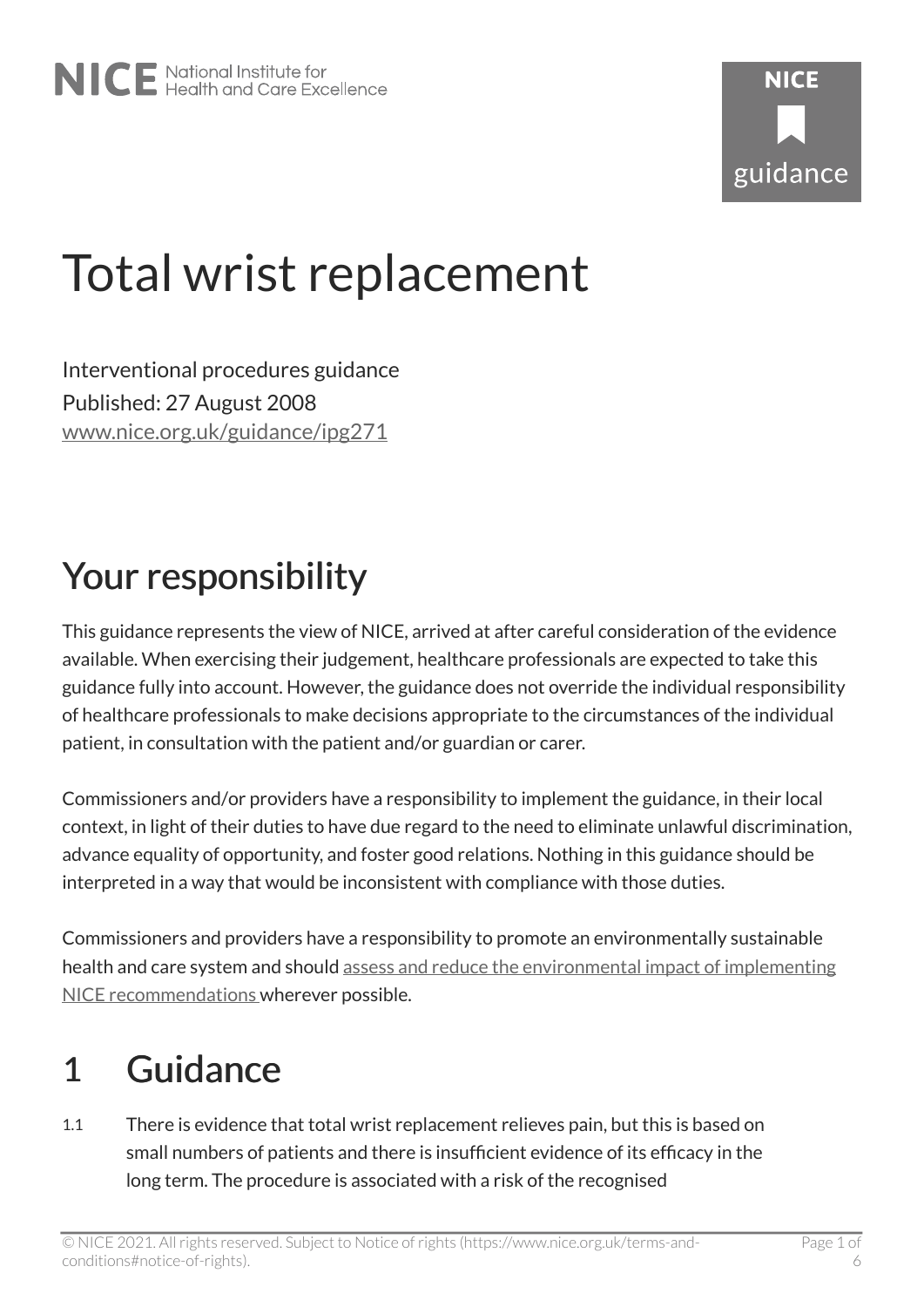# Total wrist replacement

Interventional procedures guidance Published: 27 August 2008 [www.nice.org.uk/guidance/ipg271](https://www.nice.org.uk/guidance/ipg271) 

# Your responsibility

This guidance represents the view of NICE, arrived at after careful consideration of the evidence available. When exercising their judgement, healthcare professionals are expected to take this guidance fully into account. However, the guidance does not override the individual responsibility of healthcare professionals to make decisions appropriate to the circumstances of the individual patient, in consultation with the patient and/or guardian or carer.

Commissioners and/or providers have a responsibility to implement the guidance, in their local context, in light of their duties to have due regard to the need to eliminate unlawful discrimination, advance equality of opportunity, and foster good relations. Nothing in this guidance should be interpreted in a way that would be inconsistent with compliance with those duties.

Commissioners and providers have a responsibility to promote an environmentally sustainable health and care system and should [assess and reduce the environmental impact of implementing](https://www.nice.org.uk/about/who-we-are/sustainability)  [NICE recommendations w](https://www.nice.org.uk/about/who-we-are/sustainability)herever possible.

# 1 Guidance

1.1 There is evidence that total wrist replacement relieves pain, but this is based on small numbers of patients and there is insufficient evidence of its efficacy in the long term. The procedure is associated with a risk of the recognised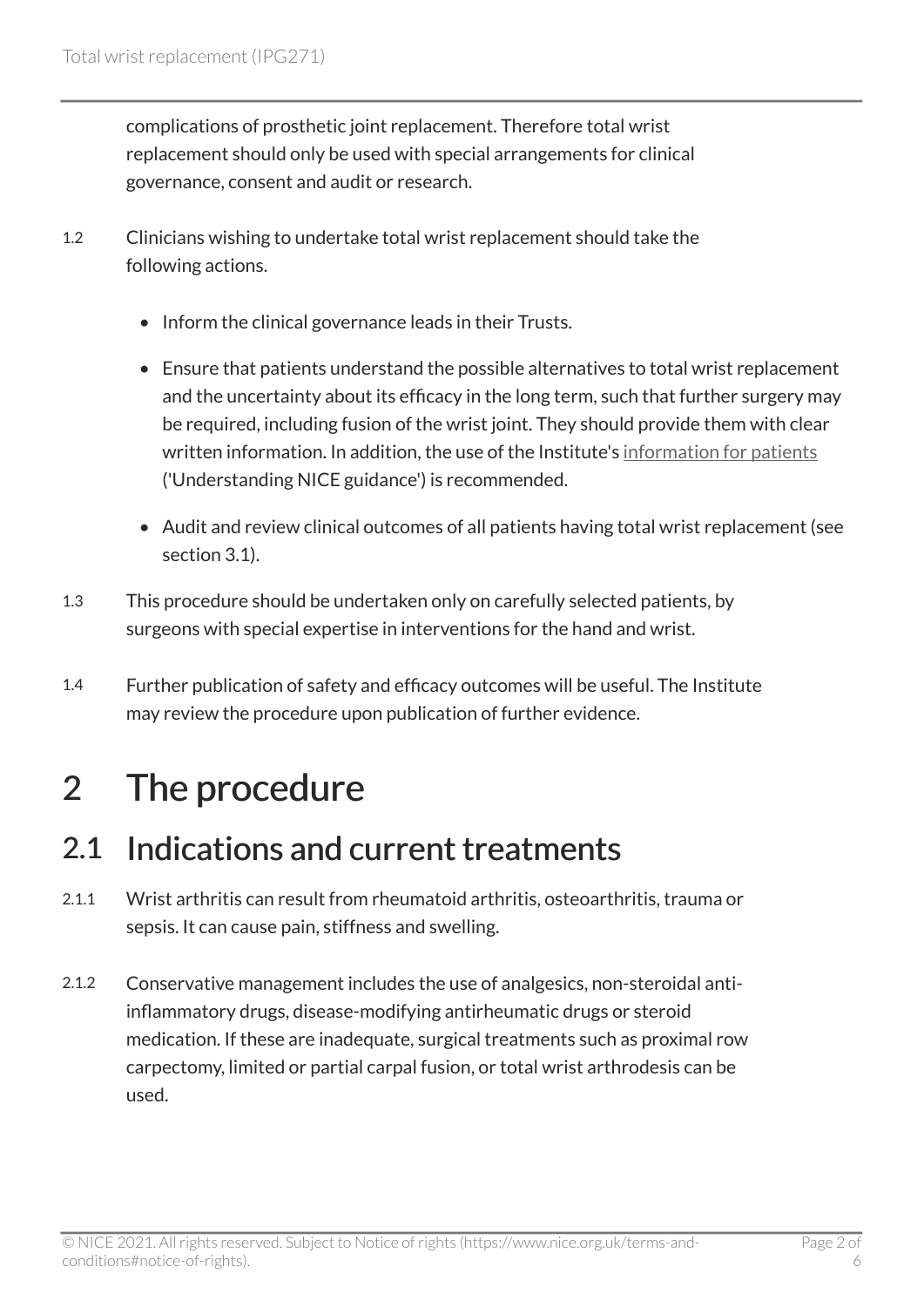complications of prosthetic joint replacement. Therefore total wrist replacement should only be used with special arrangements for clinical governance, consent and audit or research.

- 1.2 Clinicians wishing to undertake total wrist replacement should take the following actions.
	- Inform the clinical governance leads in their Trusts.
	- Ensure that patients understand the possible alternatives to total wrist replacement and the uncertainty about its efficacy in the long term, such that further surgery may be required, including fusion of the wrist joint. They should provide them with clear written information. In addition, the use of the Institute's [information for patients](http://www.nice.org.uk/guidance/ipg271/informationforpublic)  ('Understanding NICE guidance') is recommended.
	- Audit and review clinical outcomes of all patients having total wrist replacement (see section 3.1).
- 1.3 This procedure should be undertaken only on carefully selected patients, by surgeons with special expertise in interventions for the hand and wrist.
- 1.4 Further publication of safety and efficacy outcomes will be useful. The Institute may review the procedure upon publication of further evidence.

# 2 The procedure

#### 2.1 Indications and current treatments

- 2.1.1 Wrist arthritis can result from rheumatoid arthritis, osteoarthritis, trauma or sepsis. It can cause pain, stiffness and swelling.
- 2.1.2 Conservative management includes the use of analgesics, non-steroidal antiinflammatory drugs, disease-modifying antirheumatic drugs or steroid medication. If these are inadequate, surgical treatments such as proximal row carpectomy, limited or partial carpal fusion, or total wrist arthrodesis can be used.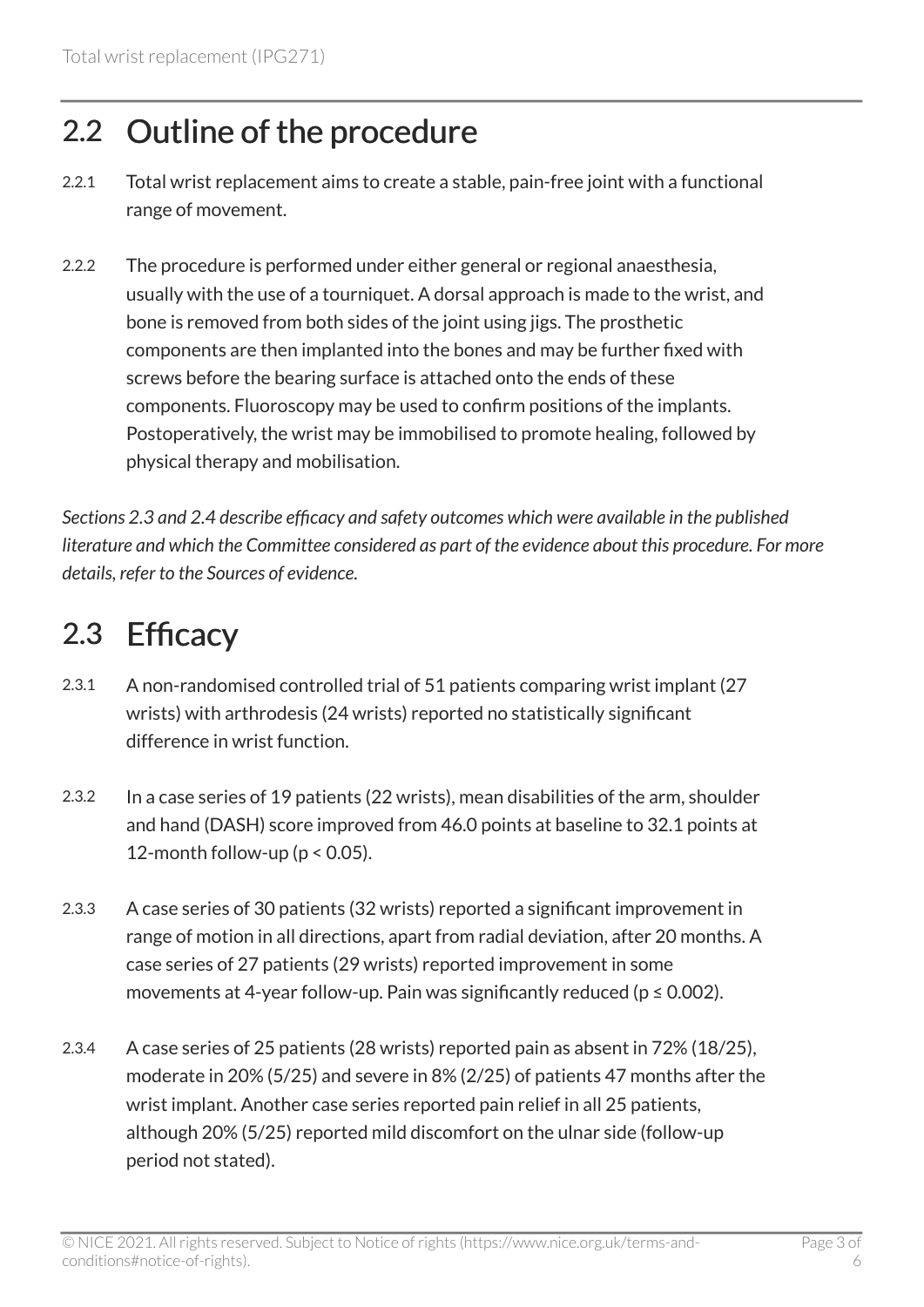### 2.2 Outline of the procedure

- 2.2.1 Total wrist replacement aims to create a stable, pain-free joint with a functional range of movement.
- 2.2.2 The procedure is performed under either general or regional anaesthesia, usually with the use of a tourniquet. A dorsal approach is made to the wrist, and bone is removed from both sides of the joint using jigs. The prosthetic components are then implanted into the bones and may be further fixed with screws before the bearing surface is attached onto the ends of these components. Fluoroscopy may be used to confirm positions of the implants. Postoperatively, the wrist may be immobilised to promote healing, followed by physical therapy and mobilisation.

*Sections 2.3 and 2.4 describe efficacy and safety outcomes which were available in the published literature and which the Committee considered as part of the evidence about this procedure. For more details, refer to the Sources of evidence.* 

### 2.3 Efficacy

- 2.3.1 A non-randomised controlled trial of 51 patients comparing wrist implant (27 wrists) with arthrodesis (24 wrists) reported no statistically significant difference in wrist function.
- 2.3.2 In a case series of 19 patients (22 wrists), mean disabilities of the arm, shoulder and hand (DASH) score improved from 46.0 points at baseline to 32.1 points at 12-month follow-up ( $p < 0.05$ ).
- 2.3.3 A case series of 30 patients (32 wrists) reported a significant improvement in range of motion in all directions, apart from radial deviation, after 20 months. A case series of 27 patients (29 wrists) reported improvement in some movements at 4-year follow-up. Pain was significantly reduced ( $p \le 0.002$ ).
- 2.3.4 A case series of 25 patients (28 wrists) reported pain as absent in 72% (18/25), moderate in 20% (5/25) and severe in 8% (2/25) of patients 47 months after the wrist implant. Another case series reported pain relief in all 25 patients, although 20% (5/25) reported mild discomfort on the ulnar side (follow-up period not stated).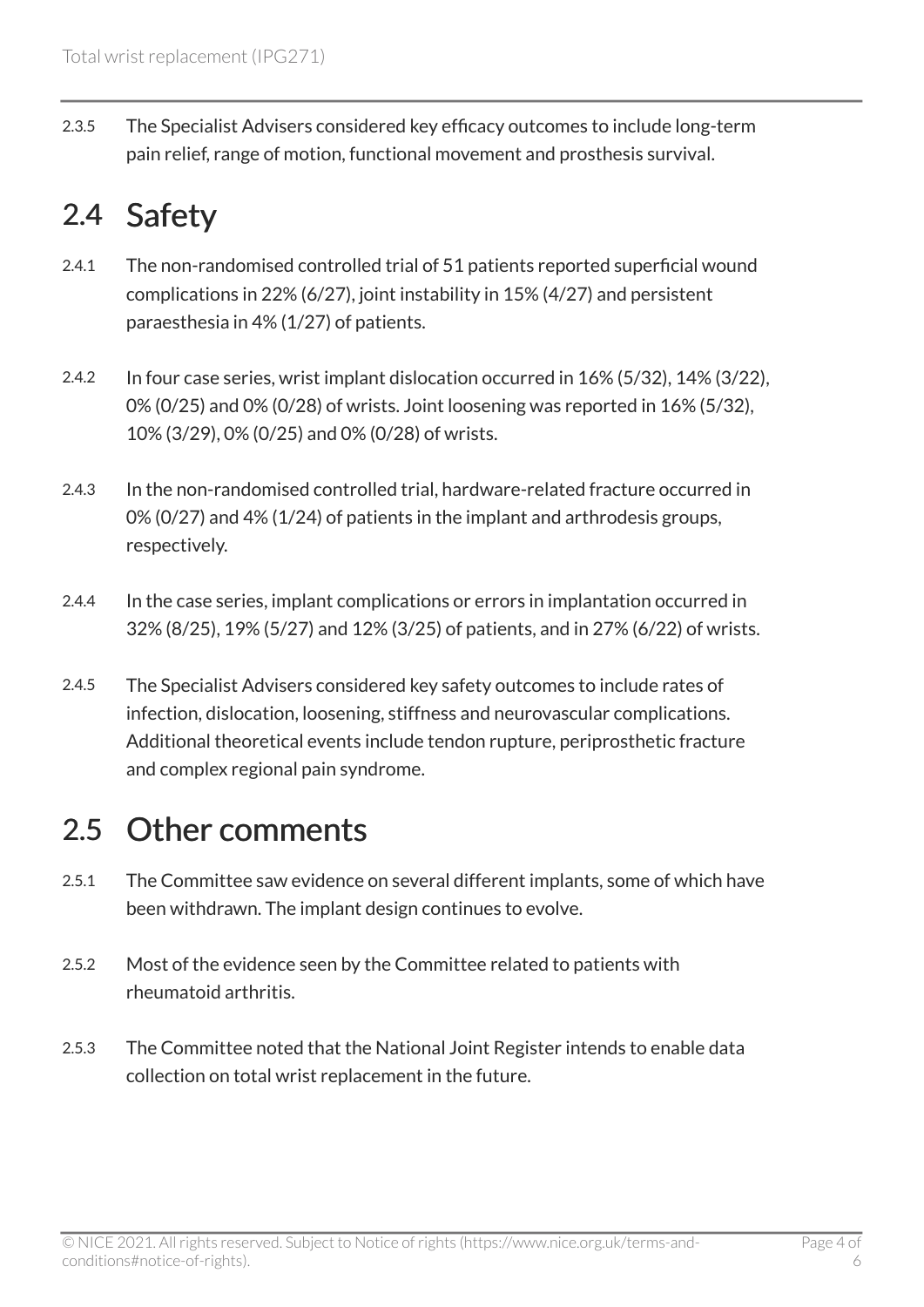2.3.5 The Specialist Advisers considered key efficacy outcomes to include long-term pain relief, range of motion, functional movement and prosthesis survival.

### 2.4 Safety

- 2.4.1 The non-randomised controlled trial of 51 patients reported superficial wound complications in 22% (6/27), joint instability in 15% (4/27) and persistent paraesthesia in 4% (1/27) of patients.
- 2.4.2 In four case series, wrist implant dislocation occurred in 16% (5/32), 14% (3/22), 0% (0/25) and 0% (0/28) of wrists. Joint loosening was reported in 16% (5/32), 10% (3/29), 0% (0/25) and 0% (0/28) of wrists.
- 2.4.3 In the non-randomised controlled trial, hardware-related fracture occurred in 0% (0/27) and 4% (1/24) of patients in the implant and arthrodesis groups, respectively.
- 2.4.4 In the case series, implant complications or errors in implantation occurred in 32% (8/25), 19% (5/27) and 12% (3/25) of patients, and in 27% (6/22) of wrists.
- 2.4.5 The Specialist Advisers considered key safety outcomes to include rates of infection, dislocation, loosening, stiffness and neurovascular complications. Additional theoretical events include tendon rupture, periprosthetic fracture and complex regional pain syndrome.

### 2.5 Other comments

- 2.5.1 The Committee saw evidence on several different implants, some of which have been withdrawn. The implant design continues to evolve.
- 2.5.2 Most of the evidence seen by the Committee related to patients with rheumatoid arthritis.
- 2.5.3 The Committee noted that the National Joint Register intends to enable data collection on total wrist replacement in the future.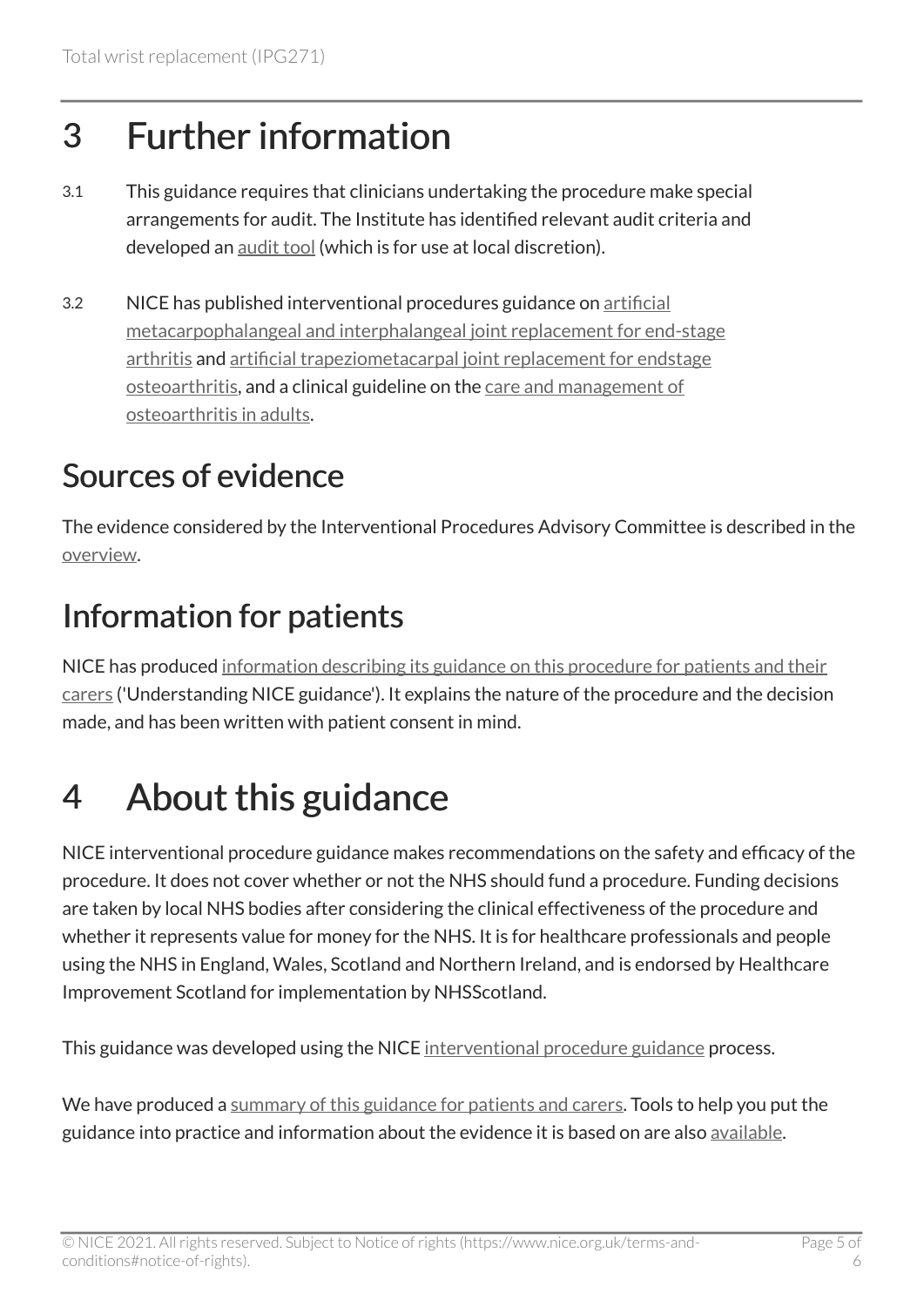# 3 Further information

- 3.1 This guidance requires that clinicians undertaking the procedure make special arrangements for audit. The Institute has identified relevant audit criteria and developed an [audit tool](http://www.nice.org.uk/guidance/ipg271) (which is for use at local discretion).
- 3.2 NICE has published interventional procedures guidance on [artificial](http://www.nice.org.uk/guidance/ipg110) [metacarpophalangeal and interphalangeal joint replacement for end-stage](http://www.nice.org.uk/guidance/ipg110)  [arthritis](http://www.nice.org.uk/guidance/ipg110) and [artificial trapeziometacarpal joint replacement for endstage](http://www.nice.org.uk/guidance/ipg111)  [osteoarthritis](http://www.nice.org.uk/guidance/ipg111), and a clinical guideline on the [care and management of](http://www.nice.org.uk/guidance/cg059)  [osteoarthritis in adults.](http://www.nice.org.uk/guidance/cg059)

### Sources of evidence

The evidence considered by the Interventional Procedures Advisory Committee is described in the [overview](http://www.nice.org.uk/proxy/?sourceUrl=http%3a%2f%2fwww.nice.org.uk%2fIP494overview).

### Information for patients

NICE has produced [information describing its guidance on this procedure for patients and their](http://www.nice.org.uk/guidance/ipg271/informationforpublic) [carers](http://www.nice.org.uk/guidance/ipg271/informationforpublic) ('Understanding NICE guidance'). It explains the nature of the procedure and the decision made, and has been written with patient consent in mind.

# 4 About this guidance

NICE interventional procedure guidance makes recommendations on the safety and efficacy of the procedure. It does not cover whether or not the NHS should fund a procedure. Funding decisions are taken by local NHS bodies after considering the clinical effectiveness of the procedure and whether it represents value for money for the NHS. It is for healthcare professionals and people using the NHS in England, Wales, Scotland and Northern Ireland, and is endorsed by Healthcare Improvement Scotland for implementation by NHSScotland.

This guidance was developed using the NICE [interventional procedure guidance](http://www.nice.org.uk/about/what-we-do/our-programmes/nice-guidance/nice-interventional-procedures-guidance) process.

We have produced a [summary of this guidance for patients and carers.](http://www.nice.org.uk/guidance/ipg271/informationforpublic) Tools to help you put the guidance into practice and information about the evidence it is based on are also [available](http://www.nice.org.uk/guidance/ipg271).